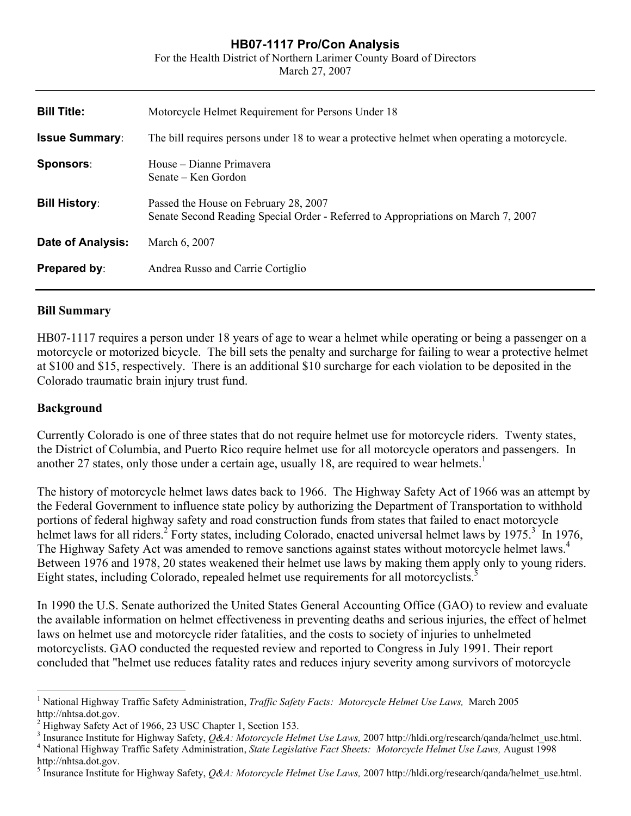## **HB07-1117 Pro/Con Analysis**

For the Health District of Northern Larimer County Board of Directors

March 27, 2007

| Motorcycle Helmet Requirement for Persons Under 18                                                                         |
|----------------------------------------------------------------------------------------------------------------------------|
| The bill requires persons under 18 to wear a protective helmet when operating a motorcycle.                                |
| House – Dianne Primavera<br>Senate – Ken Gordon                                                                            |
| Passed the House on February 28, 2007<br>Senate Second Reading Special Order - Referred to Appropriations on March 7, 2007 |
| March 6, 2007                                                                                                              |
| Andrea Russo and Carrie Cortiglio                                                                                          |
|                                                                                                                            |

### **Bill Summary**

HB07-1117 requires a person under 18 years of age to wear a helmet while operating or being a passenger on a motorcycle or motorized bicycle. The bill sets the penalty and surcharge for failing to wear a protective helmet at \$100 and \$15, respectively. There is an additional \$10 surcharge for each violation to be deposited in the Colorado traumatic brain injury trust fund.

### **Background**

 $\overline{a}$ 

Currently Colorado is one of three states that do not require helmet use for motorcycle riders. Twenty states, the District of Columbia, and Puerto Rico require helmet use for all motorcycle operators and passengers. In another 27 states, only those under a certain age, usually [1](#page-0-0)8, are required to wear helmets.<sup>1</sup>

The history of motorcycle helmet laws dates back to 1966. The Highway Safety Act of 1966 was an attempt by the Federal Government to influence state policy by authorizing the Department of Transportation to withhold portions of federal highway safety and road construction funds from states that failed to enact motorcycle helmet laws for all riders.<sup>[2](#page-0-1)</sup> Forty states, including Colorado, enacted universal helmet laws by 1975.<sup>[3](#page-0-2)</sup> In 1976, The Highway Safety Act was amended to remove sanctions against states without motorcycle helmet laws.<sup>[4](#page-0-3)</sup> Between 1976 and 1978, 20 states weakened their helmet use laws by making them apply only to young riders. Eight states, including Colorado, repealed helmet use requirements for all motorcyclists.<sup>[5](#page-0-4)</sup>

In 1990 the U.S. Senate authorized the United States General Accounting Office (GAO) to review and evaluate the available information on helmet effectiveness in preventing deaths and serious injuries, the effect of helmet laws on helmet use and motorcycle rider fatalities, and the costs to society of injuries to unhelmeted motorcyclists. GAO conducted the requested review and reported to Congress in July 1991. Their report concluded that "helmet use reduces fatality rates and reduces injury severity among survivors of motorcycle

<span id="page-0-0"></span><sup>&</sup>lt;sup>1</sup> National Highway Traffic Safety Administration, *Traffic Safety Facts: Motorcycle Helmet Use Laws*, March 2005 http://nhtsa.dot.gov.

<span id="page-0-1"></span><sup>&</sup>lt;sup>2</sup> Highway Safety Act of 1966, 23 USC Chapter 1, Section 153.

<span id="page-0-3"></span><span id="page-0-2"></span><sup>&</sup>lt;sup>3</sup> Insurance Institute for Highway Safety, *Q&A: Motorcycle Helmet Use Laws*, 2007 http://hldi.org/research/qanda/helmet\_use.html.<br><sup>4</sup> Notional Highway Traffic Safety Administration, *State Legislative East Sheets: Motorg* <sup>4</sup> National Highway Traffic Safety Administration, *State Legislative Fact Sheets: Motorcycle Helmet Use Laws, August 1998* http://nhtsa.dot.gov.

<span id="page-0-4"></span><sup>&</sup>lt;sup>5</sup> Insurance Institute for Highway Safety, *Q&A: Motorcycle Helmet Use Laws*, 2007 http://hldi.org/research/qanda/helmet\_use.html.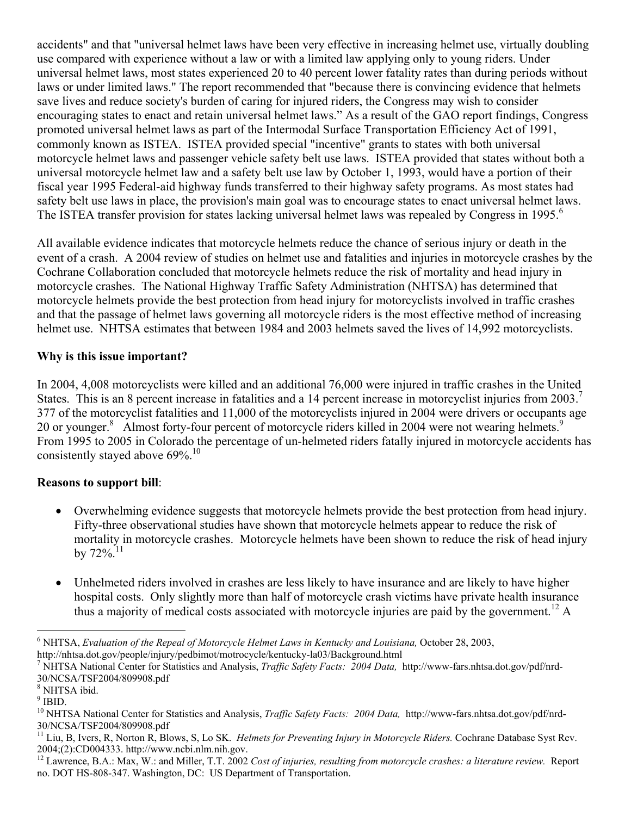accidents" and that "universal helmet laws have been very effective in increasing helmet use, virtually doubling use compared with experience without a law or with a limited law applying only to young riders. Under universal helmet laws, most states experienced 20 to 40 percent lower fatality rates than during periods without laws or under limited laws." The report recommended that "because there is convincing evidence that helmets save lives and reduce society's burden of caring for injured riders, the Congress may wish to consider encouraging states to enact and retain universal helmet laws." As a result of the GAO report findings, Congress promoted universal helmet laws as part of the Intermodal Surface Transportation Efficiency Act of 1991, commonly known as ISTEA. ISTEA provided special "incentive" grants to states with both universal motorcycle helmet laws and passenger vehicle safety belt use laws. ISTEA provided that states without both a universal motorcycle helmet law and a safety belt use law by October 1, 1993, would have a portion of their fiscal year 1995 Federal-aid highway funds transferred to their highway safety programs. As most states had safety belt use laws in place, the provision's main goal was to encourage states to enact universal helmet laws. The ISTEA transfer provision for states lacking universal helmet laws was repealed by Congress in 1995.<sup>[6](#page-1-0)</sup>

All available evidence indicates that motorcycle helmets reduce the chance of serious injury or death in the event of a crash. A 2004 review of studies on helmet use and fatalities and injuries in motorcycle crashes by the Cochrane Collaboration concluded that motorcycle helmets reduce the risk of mortality and head injury in motorcycle crashes. The National Highway Traffic Safety Administration (NHTSA) has determined that motorcycle helmets provide the best protection from head injury for motorcyclists involved in traffic crashes and that the passage of helmet laws governing all motorcycle riders is the most effective method of increasing helmet use. NHTSA estimates that between 1984 and 2003 helmets saved the lives of 14,992 motorcyclists.

# **Why is this issue important?**

In 2004, 4,008 motorcyclists were killed and an additional 76,000 were injured in traffic crashes in the United States. This is an 8 percent increase in fatalities and a 14 percent increase in motorcyclist injuries from 2003.<sup>[7](#page-1-1)</sup> 377 of the motorcyclist fatalities and 11,000 of the motorcyclists injured in 2004 were drivers or occupants age 20 or younger.<sup>[8](#page-1-2)</sup> Almost forty-four percent of motorcycle riders killed in 2004 were not wearing helmets.<sup>[9](#page-1-3)</sup> From 1995 to 2005 in Colorado the percentage of un-helmeted riders fatally injured in motorcycle accidents has consistently stayed above 69%.<sup>10</sup>

## **Reasons to support bill**:

- Overwhelming evidence suggests that motorcycle helmets provide the best protection from head injury. Fifty-three observational studies have shown that motorcycle helmets appear to reduce the risk of mortality in motorcycle crashes. Motorcycle helmets have been shown to reduce the risk of head injury by  $72\%$ <sup>[11](#page-1-5)</sup>
- Unhelmeted riders involved in crashes are less likely to have insurance and are likely to have higher hospital costs. Only slightly more than half of motorcycle crash victims have private health insurance thus a majority of medical costs associated with motorcycle injuries are paid by the government.<sup>12</sup> A

<span id="page-1-0"></span><sup>1</sup> <sup>6</sup> NHTSA, *Evaluation of the Repeal of Motorcycle Helmet Laws in Kentucky and Louisiana*, October 28, 2003, http://nhtsa.dot.gov/people/injury/pedbimot/motrocycle/kentucky-la03/Background.html

<span id="page-1-1"></span><sup>7</sup> NHTSA National Center for Statistics and Analysis, *Traffic Safety Facts: 2004 Data,* http://www-fars.nhtsa.dot.gov/pdf/nrd-30/NCSA/TSF2004/809908.pdf

<span id="page-1-2"></span><sup>8</sup> NHTSA ibid.

<span id="page-1-3"></span> $9$  IBID.

<span id="page-1-4"></span><sup>10</sup> NHTSA National Center for Statistics and Analysis, *Traffic Safety Facts: 2004 Data,* http://www-fars.nhtsa.dot.gov/pdf/nrd-30/NCSA/TSF2004/809908.pdf

<span id="page-1-5"></span><sup>11</sup> Liu, B, Ivers, R, Norton R, Blows, S, Lo SK. *Helmets for Preventing Injury in Motorcycle Riders.* Cochrane Database Syst Rev. 2004;(2):CD004333. http://www.ncbi.nlm.nih.gov.

<span id="page-1-6"></span><sup>&</sup>lt;sup>12</sup> Lawrence, B.A.: Max, W.: and Miller, T.T. 2002 *Cost of injuries, resulting from motorcycle crashes: a literature review.* Report no. DOT HS-808-347. Washington, DC: US Department of Transportation.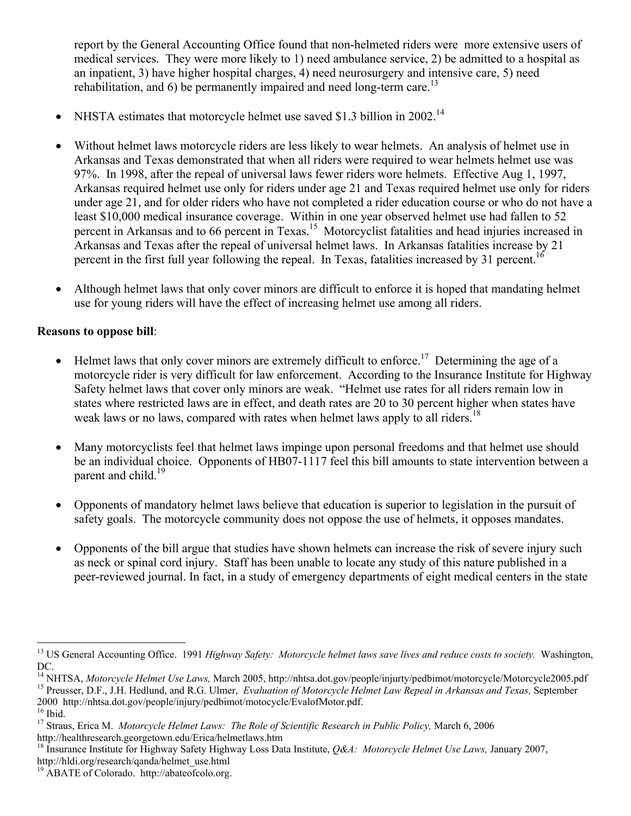report by the General Accounting Office found that non-helmeted riders were more extensive users of medical services. They were more likely to 1) need ambulance service, 2) be admitted to a hospital as an inpatient, 3) have higher hospital charges, 4) need neurosurgery and intensive care, 5) need rehabilitation, and 6) be permanently impaired and need long-term care.<sup>[13](#page-2-0)</sup>

- NHSTA estimates that motorcycle helmet use saved \$1.3 billion in 2002.<sup>14</sup>
- Without helmet laws motorcycle riders are less likely to wear helmets. An analysis of helmet use in Arkansas and Texas demonstrated that when all riders were required to wear helmets helmet use was 97%. In 1998, after the repeal of universal laws fewer riders wore helmets. Effective Aug 1, 1997, Arkansas required helmet use only for riders under age 21 and Texas required helmet use only for riders under age 21, and for older riders who have not completed a rider education course or who do not have a least \$10,000 medical insurance coverage. Within in one year observed helmet use had fallen to 52 percent in Arkansas and to 66 percent in Texas.<sup>15</sup> Motorcyclist fatalities and head injuries increased in Arkansas and Texas after the repeal of universal helmet laws. In Arkansas fatalities increase by 21 percent in the first full year following the repeal. In Texas, fatalities increased by 31 percent.<sup>[16](#page-2-3)</sup>
- Although helmet laws that only cover minors are difficult to enforce it is hoped that mandating helmet use for young riders will have the effect of increasing helmet use among all riders.

## **Reasons to oppose bill**:

1

- Helmet laws that only cover minors are extremely difficult to enforce.<sup>17</sup> Determining the age of a motorcycle rider is very difficult for law enforcement. According to the Insurance Institute for Highway Safety helmet laws that cover only minors are weak. "Helmet use rates for all riders remain low in states where restricted laws are in effect, and death rates are 20 to 30 percent higher when states have weak laws or no laws, compared with rates when helmet laws apply to all riders.<sup>18</sup>
- Many motorcyclists feel that helmet laws impinge upon personal freedoms and that helmet use should be an individual choice. Opponents of HB07-1117 feel this bill amounts to state intervention between a parent and child.<sup>19</sup>
- Opponents of mandatory helmet laws believe that education is superior to legislation in the pursuit of safety goals. The motorcycle community does not oppose the use of helmets, it opposes mandates.
- Opponents of the bill argue that studies have shown helmets can increase the risk of severe injury such as neck or spinal cord injury. Staff has been unable to locate any study of this nature published in a peer-reviewed journal. In fact, in a study of emergency departments of eight medical centers in the state

<span id="page-2-0"></span><sup>&</sup>lt;sup>13</sup> US General Accounting Office. 1991 *Highway Safety: Motorcycle helmet laws save lives and reduce costs to society*. Washington, DC.<br><sup>14</sup> NHTSA, *Motorcycle Helmet Use Laws*, March 2005, http://nhtsa.dot.gov/people/injurty/pedbimot/motorcycle/Motorcycle2005.pdf

<span id="page-2-1"></span><sup>&</sup>lt;sup>15</sup> Preusser, D.F., J.H. Hedlund, and R.G. Ulmer, Evaluation of Motorcycle Helmet Law Repeal in Arkansas and Texas, September

<span id="page-2-2"></span><sup>2000</sup> http://nhtsa.dot.gov/people/injury/pedbimot/motocycle/EvalofMotor.pdf.  $16$  Ibid.

<span id="page-2-4"></span><span id="page-2-3"></span><sup>17</sup> Straus, Erica M. *Motorcycle Helmet Laws: The Role of Scientific Research in Public Policy,* March 6, 2006 http://healthresearch.georgetown.edu/Erica/helmetlaws.htm

<span id="page-2-5"></span><sup>18</sup> Insurance Institute for Highway Safety Highway Loss Data Institute, *Q&A: Motorcycle Helmet Use Laws,* January 2007, http://hldi.org/research/qanda/helmet\_use.html

<span id="page-2-6"></span><sup>19</sup> ABATE of Colorado. http://abateofcolo.org.